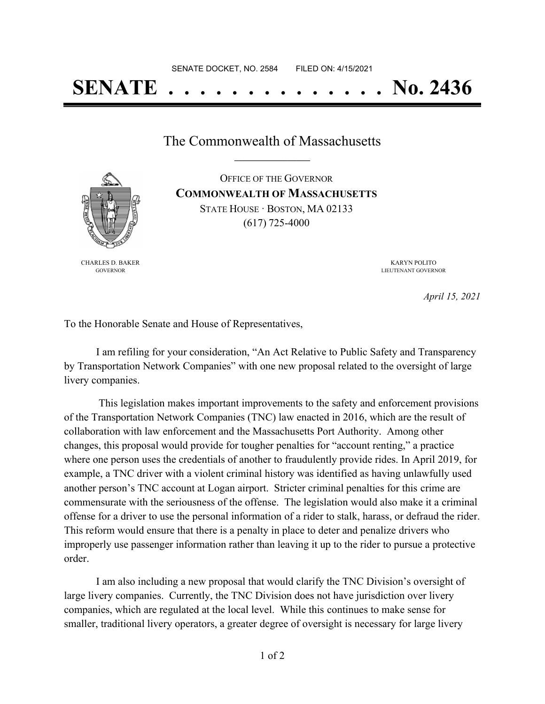# **SENATE . . . . . . . . . . . . . . No. 2436**

The Commonwealth of Massachusetts **\_\_\_\_\_\_\_\_\_\_\_\_\_\_\_\_\_**

OFFICE OF THE GOVERNOR **COMMONWEALTH OF MASSACHUSETTS** STATE HOUSE · BOSTON, MA 02133 (617) 725-4000

CHARLES D. BAKER GOVERNOR

KARYN POLITO LIEUTENANT GOVERNOR

*April 15, 2021*

To the Honorable Senate and House of Representatives,

I am refiling for your consideration, "An Act Relative to Public Safety and Transparency by Transportation Network Companies" with one new proposal related to the oversight of large livery companies.

This legislation makes important improvements to the safety and enforcement provisions of the Transportation Network Companies (TNC) law enacted in 2016, which are the result of collaboration with law enforcement and the Massachusetts Port Authority. Among other changes, this proposal would provide for tougher penalties for "account renting," a practice where one person uses the credentials of another to fraudulently provide rides. In April 2019, for example, a TNC driver with a violent criminal history was identified as having unlawfully used another person's TNC account at Logan airport. Stricter criminal penalties for this crime are commensurate with the seriousness of the offense. The legislation would also make it a criminal offense for a driver to use the personal information of a rider to stalk, harass, or defraud the rider. This reform would ensure that there is a penalty in place to deter and penalize drivers who improperly use passenger information rather than leaving it up to the rider to pursue a protective order.

I am also including a new proposal that would clarify the TNC Division's oversight of large livery companies. Currently, the TNC Division does not have jurisdiction over livery companies, which are regulated at the local level. While this continues to make sense for smaller, traditional livery operators, a greater degree of oversight is necessary for large livery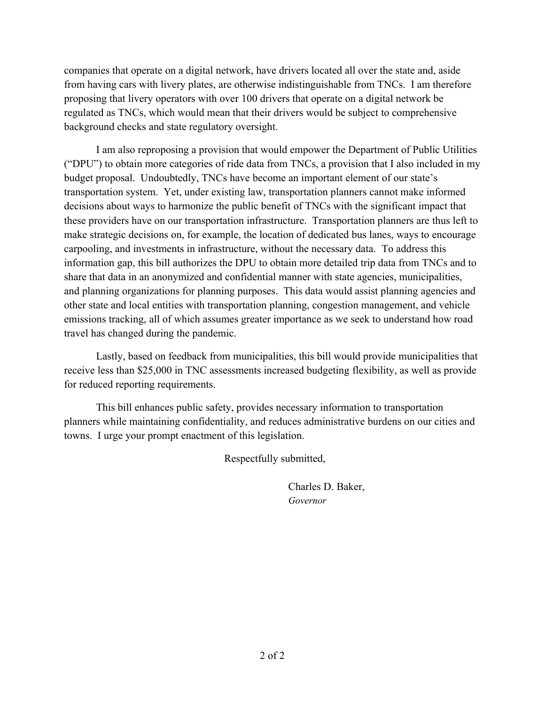companies that operate on a digital network, have drivers located all over the state and, aside from having cars with livery plates, are otherwise indistinguishable from TNCs. I am therefore proposing that livery operators with over 100 drivers that operate on a digital network be regulated as TNCs, which would mean that their drivers would be subject to comprehensive background checks and state regulatory oversight.

I am also reproposing a provision that would empower the Department of Public Utilities ("DPU") to obtain more categories of ride data from TNCs, a provision that I also included in my budget proposal. Undoubtedly, TNCs have become an important element of our state's transportation system. Yet, under existing law, transportation planners cannot make informed decisions about ways to harmonize the public benefit of TNCs with the significant impact that these providers have on our transportation infrastructure. Transportation planners are thus left to make strategic decisions on, for example, the location of dedicated bus lanes, ways to encourage carpooling, and investments in infrastructure, without the necessary data. To address this information gap, this bill authorizes the DPU to obtain more detailed trip data from TNCs and to share that data in an anonymized and confidential manner with state agencies, municipalities, and planning organizations for planning purposes. This data would assist planning agencies and other state and local entities with transportation planning, congestion management, and vehicle emissions tracking, all of which assumes greater importance as we seek to understand how road travel has changed during the pandemic.

Lastly, based on feedback from municipalities, this bill would provide municipalities that receive less than \$25,000 in TNC assessments increased budgeting flexibility, as well as provide for reduced reporting requirements.

This bill enhances public safety, provides necessary information to transportation planners while maintaining confidentiality, and reduces administrative burdens on our cities and towns. I urge your prompt enactment of this legislation.

Respectfully submitted,

Charles D. Baker, *Governor*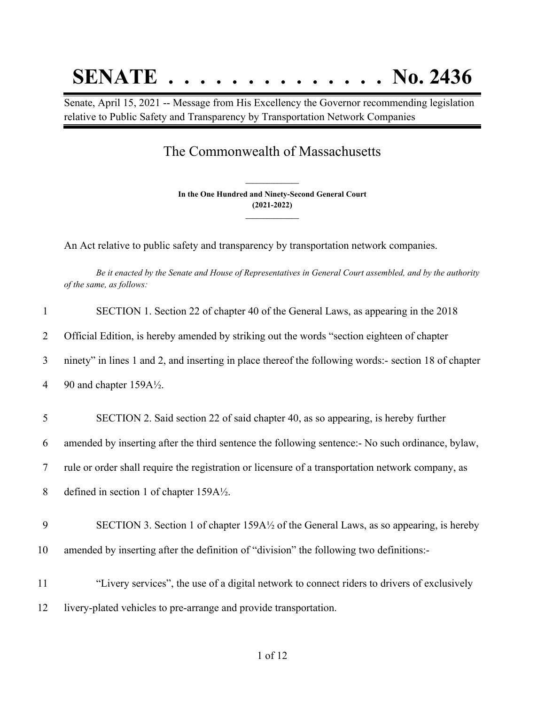## **SENATE . . . . . . . . . . . . . . No. 2436**

Senate, April 15, 2021 -- Message from His Excellency the Governor recommending legislation relative to Public Safety and Transparency by Transportation Network Companies

### The Commonwealth of Massachusetts

**In the One Hundred and Ninety-Second General Court (2021-2022) \_\_\_\_\_\_\_\_\_\_\_\_\_\_\_**

**\_\_\_\_\_\_\_\_\_\_\_\_\_\_\_**

An Act relative to public safety and transparency by transportation network companies.

Be it enacted by the Senate and House of Representatives in General Court assembled, and by the authority *of the same, as follows:*

| $\mathbf{1}$ | SECTION 1. Section 22 of chapter 40 of the General Laws, as appearing in the 2018                    |
|--------------|------------------------------------------------------------------------------------------------------|
| 2            | Official Edition, is hereby amended by striking out the words "section eighteen of chapter           |
| 3            | ninety" in lines 1 and 2, and inserting in place thereof the following words:- section 18 of chapter |
| 4            | 90 and chapter 159A1/2.                                                                              |
|              |                                                                                                      |
| 5            | SECTION 2. Said section 22 of said chapter 40, as so appearing, is hereby further                    |
| 6            | amended by inserting after the third sentence the following sentence:- No such ordinance, bylaw,     |
| 7            | rule or order shall require the registration or licensure of a transportation network company, as    |
| 8            | defined in section 1 of chapter $159A\frac{1}{2}$ .                                                  |
|              |                                                                                                      |
| 9            | SECTION 3. Section 1 of chapter 159A½ of the General Laws, as so appearing, is hereby                |
| 10           | amended by inserting after the definition of "division" the following two definitions:-              |
|              |                                                                                                      |
| 11           | "Livery services", the use of a digital network to connect riders to drivers of exclusively          |
| 12           | livery-plated vehicles to pre-arrange and provide transportation.                                    |
|              |                                                                                                      |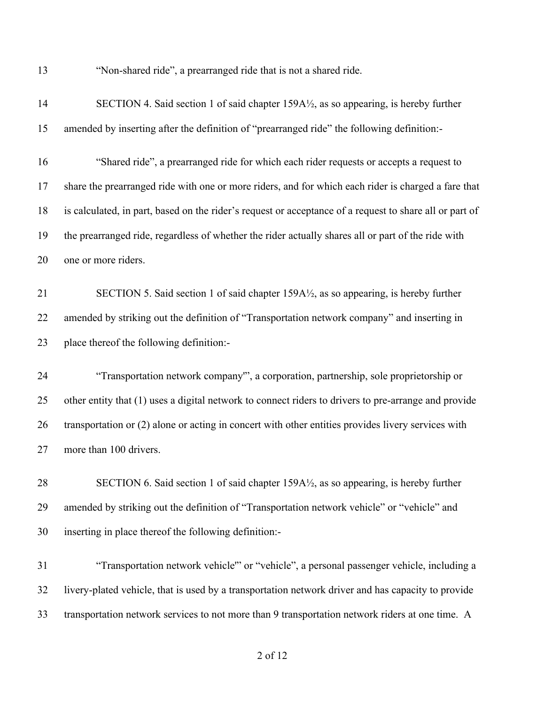"Non-shared ride", a prearranged ride that is not a shared ride.

| 14 | SECTION 4. Said section 1 of said chapter 159A½, as so appearing, is hereby further                     |
|----|---------------------------------------------------------------------------------------------------------|
| 15 | amended by inserting after the definition of "prearranged ride" the following definition:-              |
| 16 | "Shared ride", a prearranged ride for which each rider requests or accepts a request to                 |
| 17 | share the prearranged ride with one or more riders, and for which each rider is charged a fare that     |
| 18 | is calculated, in part, based on the rider's request or acceptance of a request to share all or part of |
| 19 | the prearranged ride, regardless of whether the rider actually shares all or part of the ride with      |
| 20 | one or more riders.                                                                                     |
| 21 | SECTION 5. Said section 1 of said chapter 159A1/2, as so appearing, is hereby further                   |
| 22 | amended by striking out the definition of "Transportation network company" and inserting in             |
| 23 | place thereof the following definition:-                                                                |
|    |                                                                                                         |
| 24 | "Transportation network company", a corporation, partnership, sole proprietorship or                    |
| 25 | other entity that (1) uses a digital network to connect riders to drivers to pre-arrange and provide    |
| 26 | transportation or (2) alone or acting in concert with other entities provides livery services with      |
| 27 | more than 100 drivers.                                                                                  |
| 28 | SECTION 6. Said section 1 of said chapter 159A1/2, as so appearing, is hereby further                   |
| 29 | amended by striking out the definition of "Transportation network vehicle" or "vehicle" and             |
| 30 | inserting in place thereof the following definition:-                                                   |
| 31 | "Transportation network vehicle" or "vehicle", a personal passenger vehicle, including a                |
| 32 | livery-plated vehicle, that is used by a transportation network driver and has capacity to provide      |

#### of 12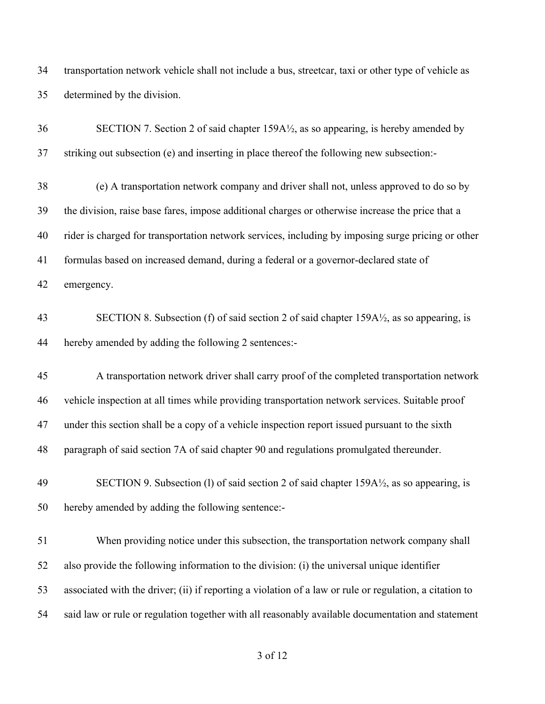transportation network vehicle shall not include a bus, streetcar, taxi or other type of vehicle as determined by the division.

| 36 | SECTION 7. Section 2 of said chapter 159A½, as so appearing, is hereby amended by                       |
|----|---------------------------------------------------------------------------------------------------------|
| 37 | striking out subsection (e) and inserting in place thereof the following new subsection:-               |
| 38 | (e) A transportation network company and driver shall not, unless approved to do so by                  |
| 39 | the division, raise base fares, impose additional charges or otherwise increase the price that a        |
| 40 | rider is charged for transportation network services, including by imposing surge pricing or other      |
| 41 | formulas based on increased demand, during a federal or a governor-declared state of                    |
| 42 | emergency.                                                                                              |
| 43 | SECTION 8. Subsection (f) of said section 2 of said chapter $159A\frac{1}{2}$ , as so appearing, is     |
| 44 | hereby amended by adding the following 2 sentences:-                                                    |
| 45 | A transportation network driver shall carry proof of the completed transportation network               |
| 46 | vehicle inspection at all times while providing transportation network services. Suitable proof         |
| 47 | under this section shall be a copy of a vehicle inspection report issued pursuant to the sixth          |
| 48 | paragraph of said section 7A of said chapter 90 and regulations promulgated thereunder.                 |
| 49 | SECTION 9. Subsection (1) of said section 2 of said chapter 159A½, as so appearing, is                  |
| 50 | hereby amended by adding the following sentence:-                                                       |
| 51 | When providing notice under this subsection, the transportation network company shall                   |
| 52 | also provide the following information to the division: (i) the universal unique identifier             |
| 53 | associated with the driver; (ii) if reporting a violation of a law or rule or regulation, a citation to |
| 54 | said law or rule or regulation together with all reasonably available documentation and statement       |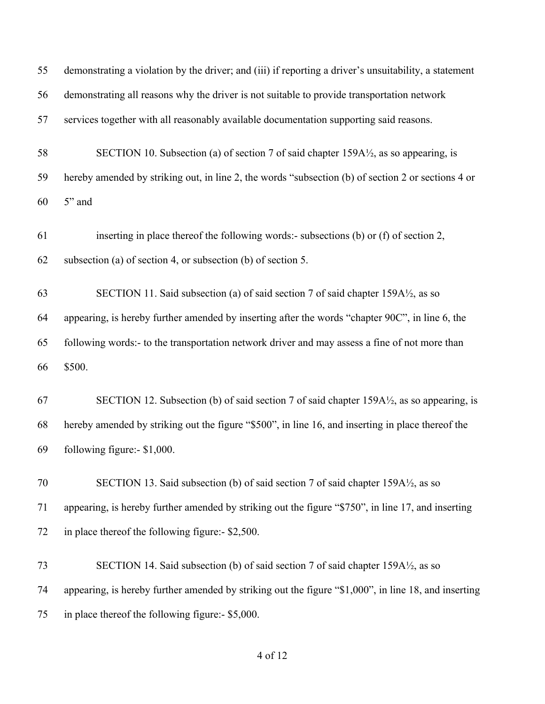| 55 | demonstrating a violation by the driver; and (iii) if reporting a driver's unsuitability, a statement |
|----|-------------------------------------------------------------------------------------------------------|
| 56 | demonstrating all reasons why the driver is not suitable to provide transportation network            |
| 57 | services together with all reasonably available documentation supporting said reasons.                |
| 58 | SECTION 10. Subsection (a) of section 7 of said chapter 159A½, as so appearing, is                    |
| 59 | hereby amended by striking out, in line 2, the words "subsection (b) of section 2 or sections 4 or    |
| 60 | 5" and                                                                                                |
| 61 | inserting in place thereof the following words:- subsections (b) or (f) of section 2,                 |
| 62 | subsection (a) of section 4, or subsection (b) of section 5.                                          |
| 63 | SECTION 11. Said subsection (a) of said section 7 of said chapter 159A½, as so                        |
| 64 | appearing, is hereby further amended by inserting after the words "chapter 90C", in line 6, the       |
| 65 | following words:- to the transportation network driver and may assess a fine of not more than         |
| 66 | \$500.                                                                                                |
| 67 | SECTION 12. Subsection (b) of said section 7 of said chapter $159A\frac{1}{2}$ , as so appearing, is  |
| 68 | hereby amended by striking out the figure "\$500", in line 16, and inserting in place thereof the     |
| 69 | following figure:- \$1,000.                                                                           |
| 70 | SECTION 13. Said subsection (b) of said section 7 of said chapter 159A1/2, as so                      |
| 71 | appearing, is hereby further amended by striking out the figure "\$750", in line 17, and inserting    |
| 72 | in place thereof the following figure:- \$2,500.                                                      |
| 73 | SECTION 14. Said subsection (b) of said section 7 of said chapter 159A½, as so                        |
| 74 | appearing, is hereby further amended by striking out the figure "\$1,000", in line 18, and inserting  |
| 75 | in place thereof the following figure:- \$5,000.                                                      |
|    |                                                                                                       |

### of 12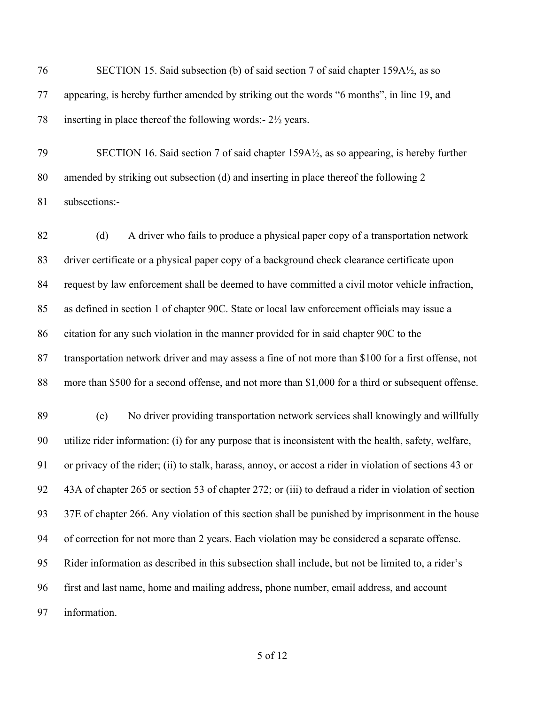SECTION 15. Said subsection (b) of said section 7 of said chapter 159A½, as so appearing, is hereby further amended by striking out the words "6 months", in line 19, and 78 inserting in place thereof the following words:-  $2\frac{1}{2}$  years.

 SECTION 16. Said section 7 of said chapter 159A½, as so appearing, is hereby further amended by striking out subsection (d) and inserting in place thereof the following 2 subsections:-

 (d) A driver who fails to produce a physical paper copy of a transportation network driver certificate or a physical paper copy of a background check clearance certificate upon request by law enforcement shall be deemed to have committed a civil motor vehicle infraction, as defined in section 1 of chapter 90C. State or local law enforcement officials may issue a citation for any such violation in the manner provided for in said chapter 90C to the transportation network driver and may assess a fine of not more than \$100 for a first offense, not more than \$500 for a second offense, and not more than \$1,000 for a third or subsequent offense.

 (e) No driver providing transportation network services shall knowingly and willfully utilize rider information: (i) for any purpose that is inconsistent with the health, safety, welfare, or privacy of the rider; (ii) to stalk, harass, annoy, or accost a rider in violation of sections 43 or 43A of chapter 265 or section 53 of chapter 272; or (iii) to defraud a rider in violation of section 37E of chapter 266. Any violation of this section shall be punished by imprisonment in the house of correction for not more than 2 years. Each violation may be considered a separate offense. Rider information as described in this subsection shall include, but not be limited to, a rider's first and last name, home and mailing address, phone number, email address, and account information.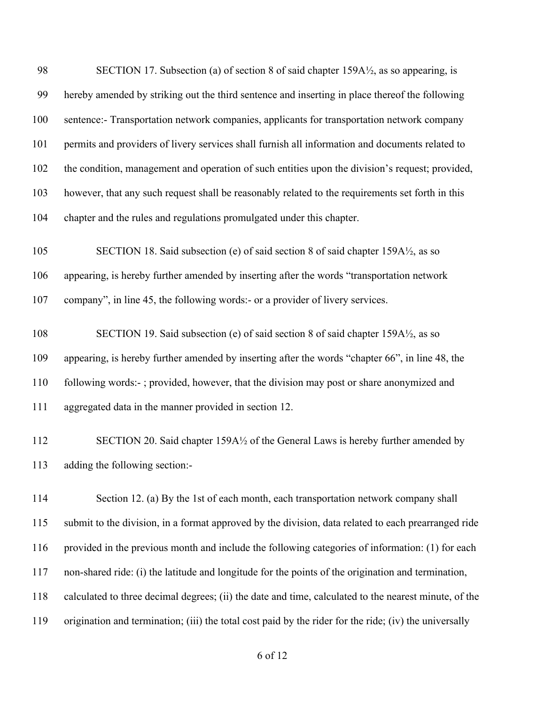98 SECTION 17. Subsection (a) of section 8 of said chapter 159A $\frac{1}{2}$ , as so appearing, is hereby amended by striking out the third sentence and inserting in place thereof the following sentence:- Transportation network companies, applicants for transportation network company permits and providers of livery services shall furnish all information and documents related to the condition, management and operation of such entities upon the division's request; provided, however, that any such request shall be reasonably related to the requirements set forth in this chapter and the rules and regulations promulgated under this chapter.

 SECTION 18. Said subsection (e) of said section 8 of said chapter 159A½, as so appearing, is hereby further amended by inserting after the words "transportation network company", in line 45, the following words:- or a provider of livery services.

 SECTION 19. Said subsection (e) of said section 8 of said chapter 159A½, as so appearing, is hereby further amended by inserting after the words "chapter 66", in line 48, the following words:- ; provided, however, that the division may post or share anonymized and aggregated data in the manner provided in section 12.

 SECTION 20. Said chapter 159A½ of the General Laws is hereby further amended by adding the following section:-

114 Section 12. (a) By the 1st of each month, each transportation network company shall submit to the division, in a format approved by the division, data related to each prearranged ride provided in the previous month and include the following categories of information: (1) for each non-shared ride: (i) the latitude and longitude for the points of the origination and termination, calculated to three decimal degrees; (ii) the date and time, calculated to the nearest minute, of the origination and termination; (iii) the total cost paid by the rider for the ride; (iv) the universally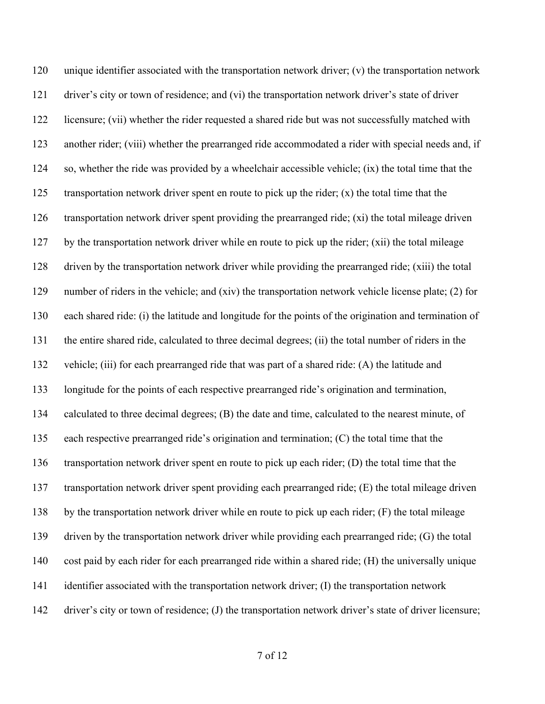unique identifier associated with the transportation network driver; (v) the transportation network driver's city or town of residence; and (vi) the transportation network driver's state of driver licensure; (vii) whether the rider requested a shared ride but was not successfully matched with another rider; (viii) whether the prearranged ride accommodated a rider with special needs and, if so, whether the ride was provided by a wheelchair accessible vehicle; (ix) the total time that the 125 transportation network driver spent en route to pick up the rider;  $(x)$  the total time that the transportation network driver spent providing the prearranged ride; (xi) the total mileage driven by the transportation network driver while en route to pick up the rider; (xii) the total mileage driven by the transportation network driver while providing the prearranged ride; (xiii) the total number of riders in the vehicle; and (xiv) the transportation network vehicle license plate; (2) for each shared ride: (i) the latitude and longitude for the points of the origination and termination of the entire shared ride, calculated to three decimal degrees; (ii) the total number of riders in the vehicle; (iii) for each prearranged ride that was part of a shared ride: (A) the latitude and longitude for the points of each respective prearranged ride's origination and termination, calculated to three decimal degrees; (B) the date and time, calculated to the nearest minute, of each respective prearranged ride's origination and termination; (C) the total time that the transportation network driver spent en route to pick up each rider; (D) the total time that the transportation network driver spent providing each prearranged ride; (E) the total mileage driven by the transportation network driver while en route to pick up each rider; (F) the total mileage driven by the transportation network driver while providing each prearranged ride; (G) the total cost paid by each rider for each prearranged ride within a shared ride; (H) the universally unique identifier associated with the transportation network driver; (I) the transportation network driver's city or town of residence; (J) the transportation network driver's state of driver licensure;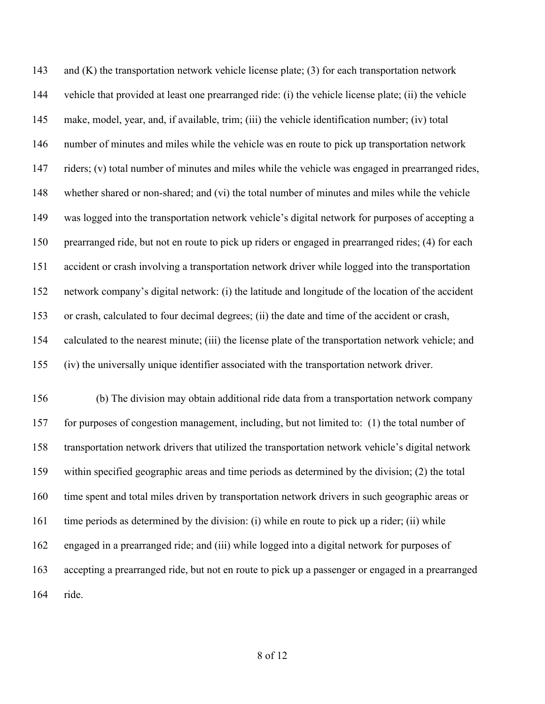143 and (K) the transportation network vehicle license plate; (3) for each transportation network vehicle that provided at least one prearranged ride: (i) the vehicle license plate; (ii) the vehicle make, model, year, and, if available, trim; (iii) the vehicle identification number; (iv) total number of minutes and miles while the vehicle was en route to pick up transportation network 147 riders; (v) total number of minutes and miles while the vehicle was engaged in prearranged rides, whether shared or non-shared; and (vi) the total number of minutes and miles while the vehicle was logged into the transportation network vehicle's digital network for purposes of accepting a prearranged ride, but not en route to pick up riders or engaged in prearranged rides; (4) for each accident or crash involving a transportation network driver while logged into the transportation network company's digital network: (i) the latitude and longitude of the location of the accident or crash, calculated to four decimal degrees; (ii) the date and time of the accident or crash, calculated to the nearest minute; (iii) the license plate of the transportation network vehicle; and (iv) the universally unique identifier associated with the transportation network driver.

 (b) The division may obtain additional ride data from a transportation network company for purposes of congestion management, including, but not limited to: (1) the total number of transportation network drivers that utilized the transportation network vehicle's digital network within specified geographic areas and time periods as determined by the division; (2) the total time spent and total miles driven by transportation network drivers in such geographic areas or time periods as determined by the division: (i) while en route to pick up a rider; (ii) while engaged in a prearranged ride; and (iii) while logged into a digital network for purposes of accepting a prearranged ride, but not en route to pick up a passenger or engaged in a prearranged ride.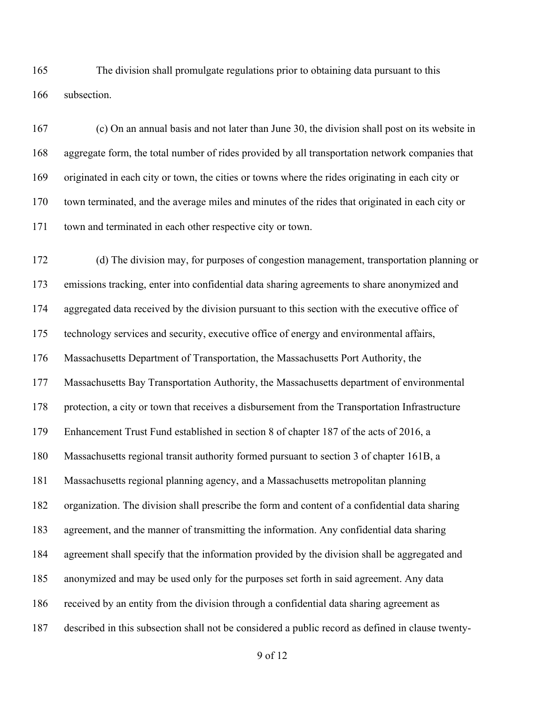The division shall promulgate regulations prior to obtaining data pursuant to this subsection.

 (c) On an annual basis and not later than June 30, the division shall post on its website in aggregate form, the total number of rides provided by all transportation network companies that originated in each city or town, the cities or towns where the rides originating in each city or town terminated, and the average miles and minutes of the rides that originated in each city or town and terminated in each other respective city or town.

 (d) The division may, for purposes of congestion management, transportation planning or emissions tracking, enter into confidential data sharing agreements to share anonymized and aggregated data received by the division pursuant to this section with the executive office of technology services and security, executive office of energy and environmental affairs, Massachusetts Department of Transportation, the Massachusetts Port Authority, the Massachusetts Bay Transportation Authority, the Massachusetts department of environmental protection, a city or town that receives a disbursement from the Transportation Infrastructure Enhancement Trust Fund established in section 8 of chapter 187 of the acts of 2016, a Massachusetts regional transit authority formed pursuant to section 3 of chapter 161B, a Massachusetts regional planning agency, and a Massachusetts metropolitan planning organization. The division shall prescribe the form and content of a confidential data sharing agreement, and the manner of transmitting the information. Any confidential data sharing agreement shall specify that the information provided by the division shall be aggregated and anonymized and may be used only for the purposes set forth in said agreement. Any data received by an entity from the division through a confidential data sharing agreement as described in this subsection shall not be considered a public record as defined in clause twenty-

of 12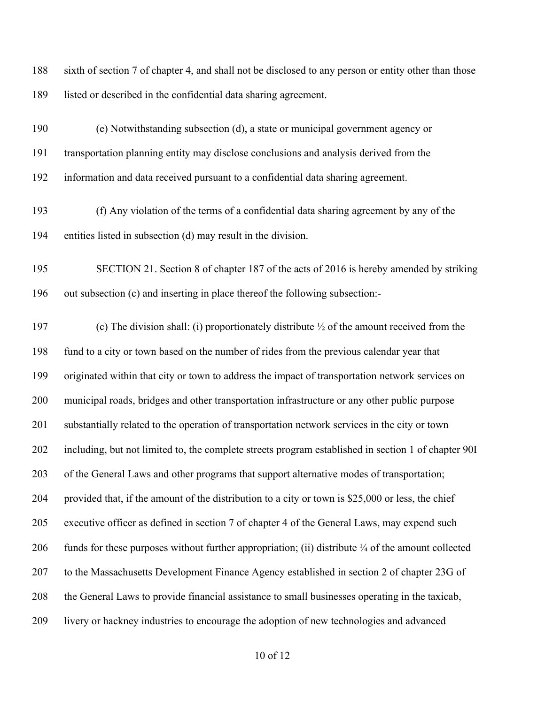| 188 | sixth of section 7 of chapter 4, and shall not be disclosed to any person or entity other than those |
|-----|------------------------------------------------------------------------------------------------------|
| 189 | listed or described in the confidential data sharing agreement.                                      |
| 190 | (e) Notwithstanding subsection (d), a state or municipal government agency or                        |
| 191 | transportation planning entity may disclose conclusions and analysis derived from the                |
| 192 | information and data received pursuant to a confidential data sharing agreement.                     |
| 193 | (f) Any violation of the terms of a confidential data sharing agreement by any of the                |

entities listed in subsection (d) may result in the division.

 SECTION 21. Section 8 of chapter 187 of the acts of 2016 is hereby amended by striking out subsection (c) and inserting in place thereof the following subsection:-

197 (c) The division shall: (i) proportionately distribute  $\frac{1}{2}$  of the amount received from the fund to a city or town based on the number of rides from the previous calendar year that originated within that city or town to address the impact of transportation network services on municipal roads, bridges and other transportation infrastructure or any other public purpose substantially related to the operation of transportation network services in the city or town including, but not limited to, the complete streets program established in section 1 of chapter 90I of the General Laws and other programs that support alternative modes of transportation; provided that, if the amount of the distribution to a city or town is \$25,000 or less, the chief executive officer as defined in section 7 of chapter 4 of the General Laws, may expend such 206 funds for these purposes without further appropriation; (ii) distribute  $\frac{1}{4}$  of the amount collected to the Massachusetts Development Finance Agency established in section 2 of chapter 23G of the General Laws to provide financial assistance to small businesses operating in the taxicab, livery or hackney industries to encourage the adoption of new technologies and advanced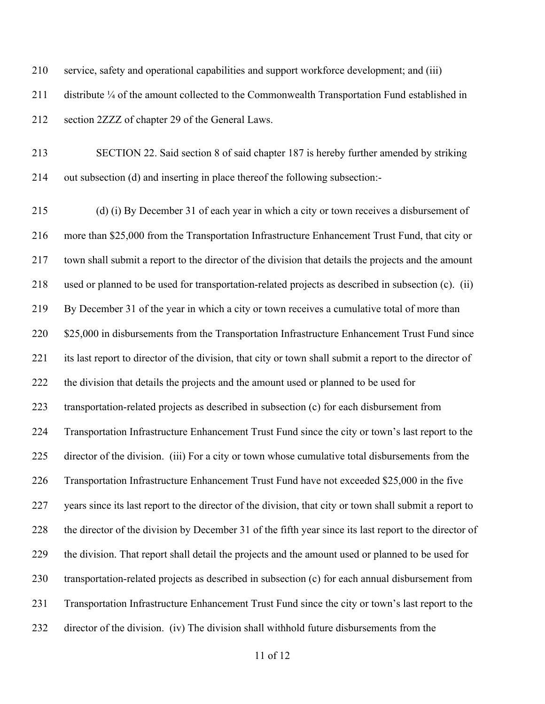service, safety and operational capabilities and support workforce development; and (iii)

 distribute ¼ of the amount collected to the Commonwealth Transportation Fund established in section 2ZZZ of chapter 29 of the General Laws.

 SECTION 22. Said section 8 of said chapter 187 is hereby further amended by striking out subsection (d) and inserting in place thereof the following subsection:-

 (d) (i) By December 31 of each year in which a city or town receives a disbursement of more than \$25,000 from the Transportation Infrastructure Enhancement Trust Fund, that city or town shall submit a report to the director of the division that details the projects and the amount used or planned to be used for transportation-related projects as described in subsection (c). (ii) By December 31 of the year in which a city or town receives a cumulative total of more than 220 \$25,000 in disbursements from the Transportation Infrastructure Enhancement Trust Fund since its last report to director of the division, that city or town shall submit a report to the director of the division that details the projects and the amount used or planned to be used for transportation-related projects as described in subsection (c) for each disbursement from Transportation Infrastructure Enhancement Trust Fund since the city or town's last report to the director of the division. (iii) For a city or town whose cumulative total disbursements from the Transportation Infrastructure Enhancement Trust Fund have not exceeded \$25,000 in the five years since its last report to the director of the division, that city or town shall submit a report to the director of the division by December 31 of the fifth year since its last report to the director of the division. That report shall detail the projects and the amount used or planned to be used for transportation-related projects as described in subsection (c) for each annual disbursement from Transportation Infrastructure Enhancement Trust Fund since the city or town's last report to the director of the division. (iv) The division shall withhold future disbursements from the